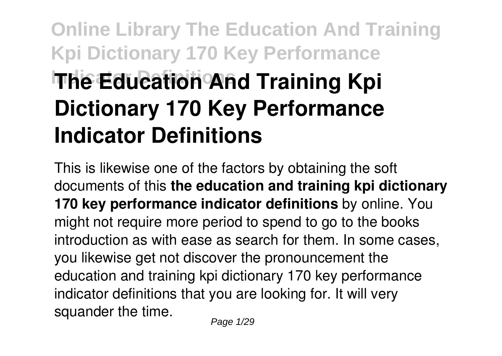# **Online Library The Education And Training Kpi Dictionary 170 Key Performance The Education And Training Kpi Dictionary 170 Key Performance Indicator Definitions**

This is likewise one of the factors by obtaining the soft documents of this **the education and training kpi dictionary 170 key performance indicator definitions** by online. You might not require more period to spend to go to the books introduction as with ease as search for them. In some cases, you likewise get not discover the pronouncement the education and training kpi dictionary 170 key performance indicator definitions that you are looking for. It will very squander the time.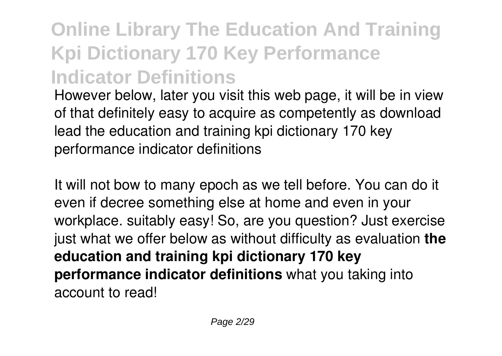# **Online Library The Education And Training Kpi Dictionary 170 Key Performance Indicator Definitions**

However below, later you visit this web page, it will be in view of that definitely easy to acquire as competently as download lead the education and training kpi dictionary 170 key performance indicator definitions

It will not bow to many epoch as we tell before. You can do it even if decree something else at home and even in your workplace. suitably easy! So, are you question? Just exercise just what we offer below as without difficulty as evaluation **the education and training kpi dictionary 170 key performance indicator definitions** what you taking into account to read!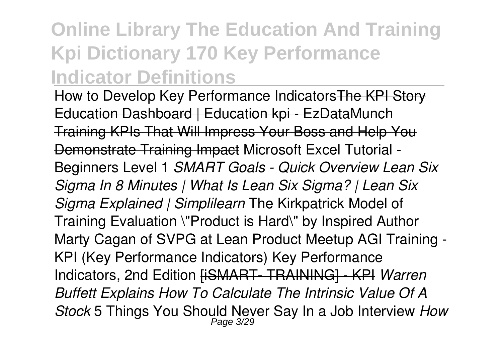# **Online Library The Education And Training Kpi Dictionary 170 Key Performance Indicator Definitions**

How to Develop Key Performance IndicatorsThe KPI Story Education Dashboard | Education kpi - EzDataMunch Training KPIs That Will Impress Your Boss and Help You Demonstrate Training Impact Microsoft Excel Tutorial - Beginners Level 1 *SMART Goals - Quick Overview Lean Six Sigma In 8 Minutes | What Is Lean Six Sigma? | Lean Six Sigma Explained | Simplilearn* The Kirkpatrick Model of Training Evaluation \"Product is Hard\" by Inspired Author Marty Cagan of SVPG at Lean Product Meetup AGI Training - KPI (Key Performance Indicators) Key Performance Indicators, 2nd Edition [iSMART- TRAINING] - KPI *Warren Buffett Explains How To Calculate The Intrinsic Value Of A Stock* 5 Things You Should Never Say In a Job Interview *How* Page 3/29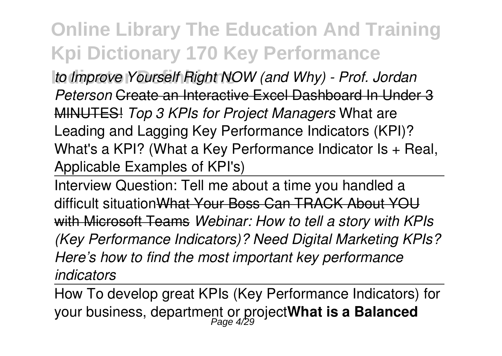*to Improve Yourself Right NOW (and Why) - Prof. Jordan Peterson* Create an Interactive Excel Dashboard In Under 3 MINUTES! *Top 3 KPIs for Project Managers* What are Leading and Lagging Key Performance Indicators (KPI)? What's a KPI? (What a Key Performance Indicator Is + Real, Applicable Examples of KPI's)

Interview Question: Tell me about a time you handled a difficult situationWhat Your Boss Can TRACK About YOU with Microsoft Teams *Webinar: How to tell a story with KPIs (Key Performance Indicators)? Need Digital Marketing KPIs? Here's how to find the most important key performance indicators*

How To develop great KPIs (Key Performance Indicators) for your business, department or project**What is a Balanced** Page 4/29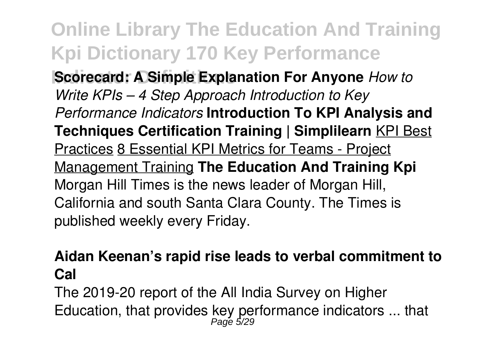**Online Library The Education And Training Kpi Dictionary 170 Key Performance Indicator Befaniations Indicator Scorecard: A Simple Explanation For Anyone** *How to Write KPIs – 4 Step Approach Introduction to Key Performance Indicators* **Introduction To KPI Analysis and Techniques Certification Training | Simplilearn** KPI Best Practices 8 Essential KPI Metrics for Teams - Project Management Training **The Education And Training Kpi** Morgan Hill Times is the news leader of Morgan Hill, California and south Santa Clara County. The Times is published weekly every Friday.

### **Aidan Keenan's rapid rise leads to verbal commitment to Cal**

The 2019-20 report of the All India Survey on Higher Education, that provides key performance indicators  $\dots$  that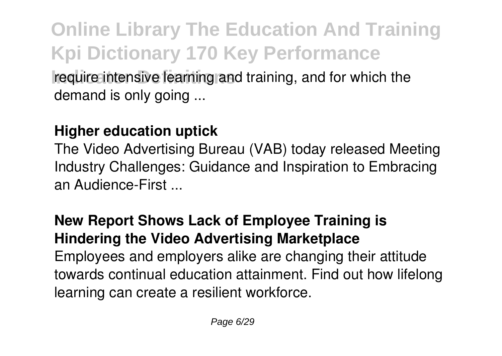**Online Library The Education And Training Kpi Dictionary 170 Key Performance Indicator Indicator Indicator Persons** require intensive learning and for which the demand is only going ...

### **Higher education uptick**

The Video Advertising Bureau (VAB) today released Meeting Industry Challenges: Guidance and Inspiration to Embracing an Audience-First ...

#### **New Report Shows Lack of Employee Training is Hindering the Video Advertising Marketplace**

Employees and employers alike are changing their attitude towards continual education attainment. Find out how lifelong learning can create a resilient workforce.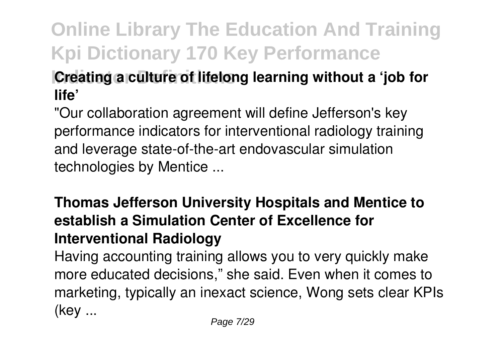### **Creating a culture of lifelong learning without a 'job for life'**

"Our collaboration agreement will define Jefferson's key performance indicators for interventional radiology training and leverage state-of-the-art endovascular simulation technologies by Mentice ...

### **Thomas Jefferson University Hospitals and Mentice to establish a Simulation Center of Excellence for Interventional Radiology**

Having accounting training allows you to very quickly make more educated decisions," she said. Even when it comes to marketing, typically an inexact science, Wong sets clear KPIs (key ...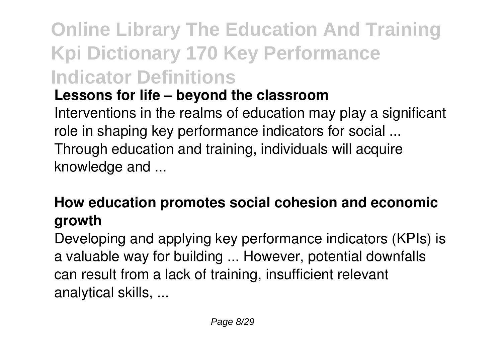# **Online Library The Education And Training Kpi Dictionary 170 Key Performance Indicator Definitions**

## **Lessons for life – beyond the classroom**

Interventions in the realms of education may play a significant role in shaping key performance indicators for social ... Through education and training, individuals will acquire knowledge and ...

## **How education promotes social cohesion and economic growth**

Developing and applying key performance indicators (KPIs) is a valuable way for building ... However, potential downfalls can result from a lack of training, insufficient relevant analytical skills, ...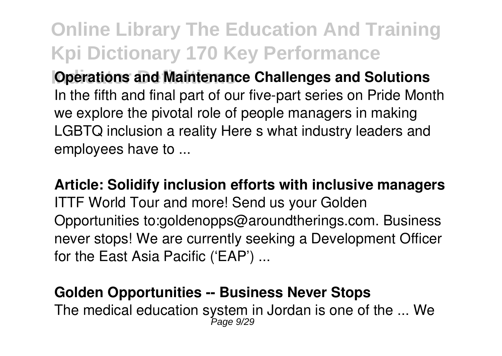**IDDICATOR DEFINITIONS Operations Operations Operations** In the fifth and final part of our five-part series on Pride Month we explore the pivotal role of people managers in making LGBTQ inclusion a reality Here s what industry leaders and employees have to ...

**Article: Solidify inclusion efforts with inclusive managers** ITTF World Tour and more! Send us your Golden Opportunities to:goldenopps@aroundtherings.com. Business never stops! We are currently seeking a Development Officer for the East Asia Pacific ('EAP') ...

#### **Golden Opportunities -- Business Never Stops**

The medical education system in Jordan is one of the  $\ldots$  We<br>Page 9/29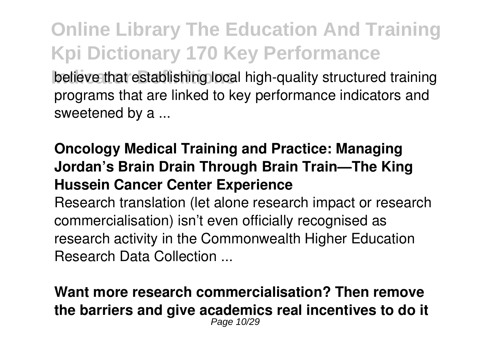**Online Library The Education And Training Kpi Dictionary 170 Key Performance believe that establishing local high-quality structured training** programs that are linked to key performance indicators and sweetened by a ...

### **Oncology Medical Training and Practice: Managing Jordan's Brain Drain Through Brain Train—The King Hussein Cancer Center Experience**

Research translation (let alone research impact or research commercialisation) isn't even officially recognised as research activity in the Commonwealth Higher Education Research Data Collection ...

#### **Want more research commercialisation? Then remove the barriers and give academics real incentives to do it** Page 10/29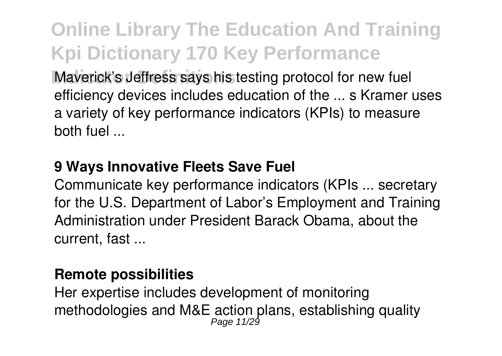**Maverick's Jeffress says his testing protocol for new fuel** efficiency devices includes education of the ... s Kramer uses a variety of key performance indicators (KPIs) to measure both fuel ...

#### **9 Ways Innovative Fleets Save Fuel**

Communicate key performance indicators (KPIs ... secretary for the U.S. Department of Labor's Employment and Training Administration under President Barack Obama, about the current, fast ...

#### **Remote possibilities**

Her expertise includes development of monitoring methodologies and M&E action plans, establishing quality<br> $P_{\text{age 11/29}}$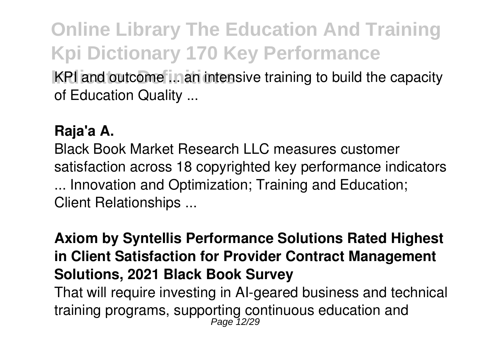**IKPI and outcome ... an intensive training to build the capacity** of Education Quality ...

#### **Raja'a A.**

Black Book Market Research LLC measures customer satisfaction across 18 copyrighted key performance indicators ... Innovation and Optimization; Training and Education; Client Relationships ...

### **Axiom by Syntellis Performance Solutions Rated Highest in Client Satisfaction for Provider Contract Management Solutions, 2021 Black Book Survey**

That will require investing in AI-geared business and technical training programs, supporting continuous education and<br>Page 12/29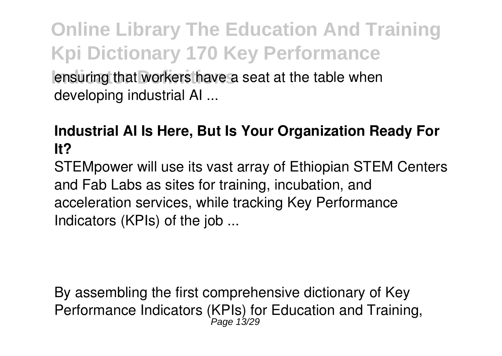**Online Library The Education And Training Kpi Dictionary 170 Key Performance Iensuring that workers have a seat at the table when** developing industrial AI ...

### **Industrial AI Is Here, But Is Your Organization Ready For It?**

STEMpower will use its vast array of Ethiopian STEM Centers and Fab Labs as sites for training, incubation, and acceleration services, while tracking Key Performance Indicators (KPIs) of the job ...

By assembling the first comprehensive dictionary of Key Performance Indicators (KPIs) for Education and Training, Page 13/29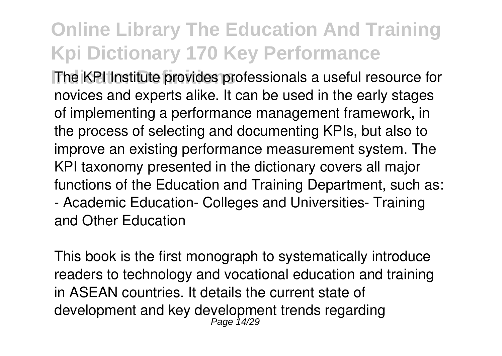**The KPI Institute provides professionals a useful resource for** novices and experts alike. It can be used in the early stages of implementing a performance management framework, in the process of selecting and documenting KPIs, but also to improve an existing performance measurement system. The KPI taxonomy presented in the dictionary covers all major functions of the Education and Training Department, such as: - Academic Education- Colleges and Universities- Training

and Other Education

This book is the first monograph to systematically introduce readers to technology and vocational education and training in ASEAN countries. It details the current state of development and key development trends regarding Page 14/29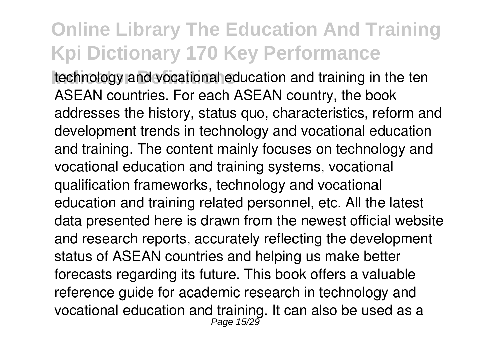**Indicator 1 and vocational education and training in the ten** ASEAN countries. For each ASEAN country, the book addresses the history, status quo, characteristics, reform and development trends in technology and vocational education and training. The content mainly focuses on technology and vocational education and training systems, vocational qualification frameworks, technology and vocational education and training related personnel, etc. All the latest data presented here is drawn from the newest official website and research reports, accurately reflecting the development status of ASEAN countries and helping us make better forecasts regarding its future. This book offers a valuable reference guide for academic research in technology and vocational education and training. It can also be used as a<br>Page 15/29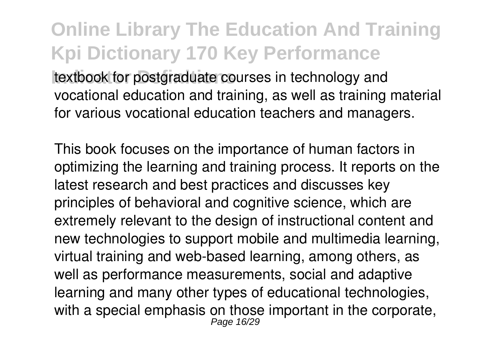**Online Library The Education And Training Kpi Dictionary 170 Key Performance Intextbook for postgraduate courses in technology and** vocational education and training, as well as training material for various vocational education teachers and managers.

This book focuses on the importance of human factors in optimizing the learning and training process. It reports on the latest research and best practices and discusses key principles of behavioral and cognitive science, which are extremely relevant to the design of instructional content and new technologies to support mobile and multimedia learning, virtual training and web-based learning, among others, as well as performance measurements, social and adaptive learning and many other types of educational technologies, with a special emphasis on those important in the corporate, Page 16/29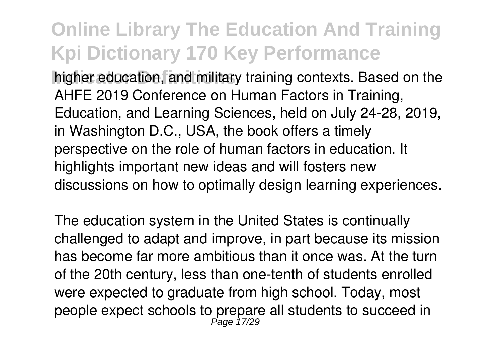higher education, and military training contexts. Based on the AHFE 2019 Conference on Human Factors in Training, Education, and Learning Sciences, held on July 24-28, 2019, in Washington D.C., USA, the book offers a timely perspective on the role of human factors in education. It highlights important new ideas and will fosters new discussions on how to optimally design learning experiences.

The education system in the United States is continually challenged to adapt and improve, in part because its mission has become far more ambitious than it once was. At the turn of the 20th century, less than one-tenth of students enrolled were expected to graduate from high school. Today, most people expect schools to prepare all students to succeed in<br>Page 17/29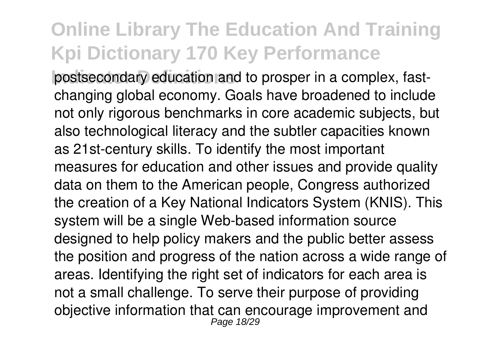postsecondary education and to prosper in a complex, fastchanging global economy. Goals have broadened to include not only rigorous benchmarks in core academic subjects, but also technological literacy and the subtler capacities known as 21st-century skills. To identify the most important measures for education and other issues and provide quality data on them to the American people, Congress authorized the creation of a Key National Indicators System (KNIS). This system will be a single Web-based information source designed to help policy makers and the public better assess the position and progress of the nation across a wide range of areas. Identifying the right set of indicators for each area is not a small challenge. To serve their purpose of providing objective information that can encourage improvement and Page 18/29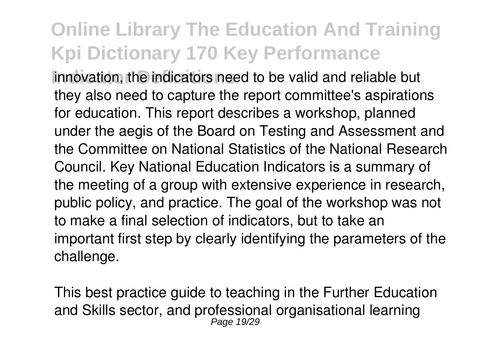**Innovation, the indicators need to be valid and reliable but** they also need to capture the report committee's aspirations for education. This report describes a workshop, planned under the aegis of the Board on Testing and Assessment and the Committee on National Statistics of the National Research Council. Key National Education Indicators is a summary of the meeting of a group with extensive experience in research, public policy, and practice. The goal of the workshop was not to make a final selection of indicators, but to take an important first step by clearly identifying the parameters of the challenge.

This best practice guide to teaching in the Further Education and Skills sector, and professional organisational learning Page 19/29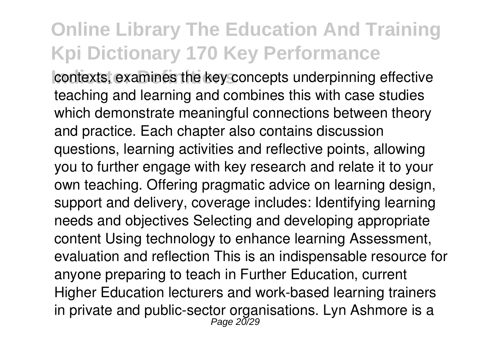**Contexts, examines the key concepts underpinning effective** teaching and learning and combines this with case studies which demonstrate meaningful connections between theory and practice. Each chapter also contains discussion questions, learning activities and reflective points, allowing you to further engage with key research and relate it to your own teaching. Offering pragmatic advice on learning design, support and delivery, coverage includes: Identifying learning needs and objectives Selecting and developing appropriate content Using technology to enhance learning Assessment, evaluation and reflection This is an indispensable resource for anyone preparing to teach in Further Education, current Higher Education lecturers and work-based learning trainers in private and public-sector organisations. Lyn Ashmore is a<br> $P_{\text{age 20/29}}$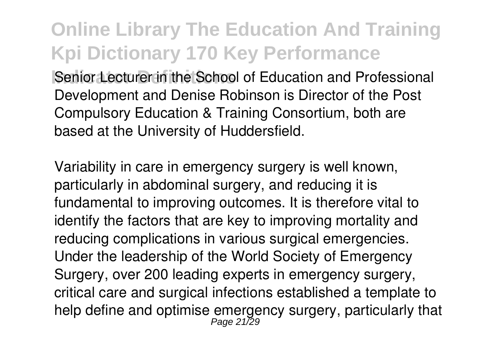**Senior Lecturer in the School of Education and Professional** Development and Denise Robinson is Director of the Post Compulsory Education & Training Consortium, both are based at the University of Huddersfield.

Variability in care in emergency surgery is well known, particularly in abdominal surgery, and reducing it is fundamental to improving outcomes. It is therefore vital to identify the factors that are key to improving mortality and reducing complications in various surgical emergencies. Under the leadership of the World Society of Emergency Surgery, over 200 leading experts in emergency surgery, critical care and surgical infections established a template to help define and optimise emergency surgery, particularly that<br>Page 21/29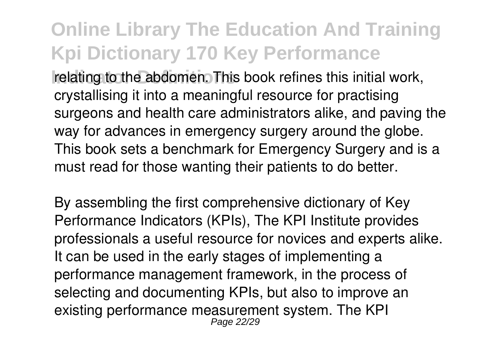**Indicating to the abdomen. This book refines this initial work,** crystallising it into a meaningful resource for practising surgeons and health care administrators alike, and paving the way for advances in emergency surgery around the globe. This book sets a benchmark for Emergency Surgery and is a must read for those wanting their patients to do better.

By assembling the first comprehensive dictionary of Key Performance Indicators (KPIs), The KPI Institute provides professionals a useful resource for novices and experts alike. It can be used in the early stages of implementing a performance management framework, in the process of selecting and documenting KPIs, but also to improve an existing performance measurement system. The KPI Page 22/29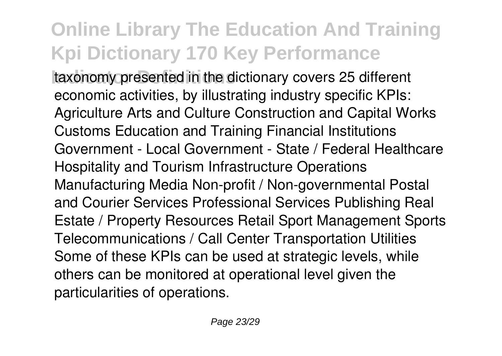taxonomy presented in the dictionary covers 25 different economic activities, by illustrating industry specific KPIs: Agriculture Arts and Culture Construction and Capital Works Customs Education and Training Financial Institutions Government - Local Government - State / Federal Healthcare Hospitality and Tourism Infrastructure Operations Manufacturing Media Non-profit / Non-governmental Postal and Courier Services Professional Services Publishing Real Estate / Property Resources Retail Sport Management Sports Telecommunications / Call Center Transportation Utilities Some of these KPIs can be used at strategic levels, while others can be monitored at operational level given the particularities of operations.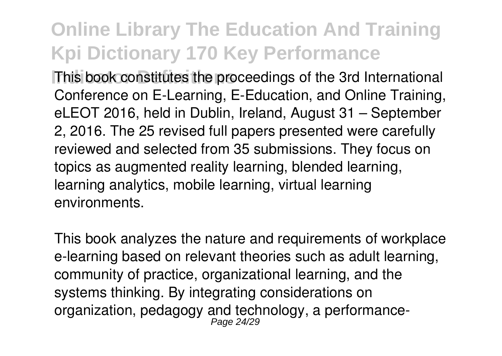**This book constitutes the proceedings of the 3rd International** Conference on E-Learning, E-Education, and Online Training, eLEOT 2016, held in Dublin, Ireland, August 31 – September 2, 2016. The 25 revised full papers presented were carefully reviewed and selected from 35 submissions. They focus on topics as augmented reality learning, blended learning, learning analytics, mobile learning, virtual learning environments.

This book analyzes the nature and requirements of workplace e-learning based on relevant theories such as adult learning, community of practice, organizational learning, and the systems thinking. By integrating considerations on organization, pedagogy and technology, a performance-Page 24/29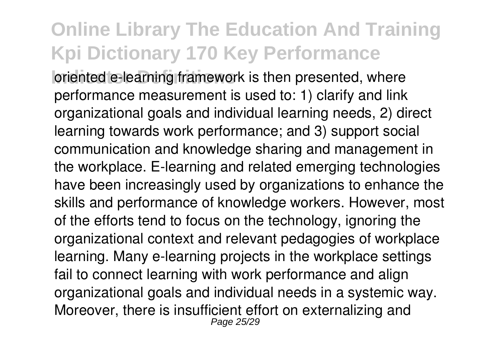**Indicate of e-learning framework is then presented, where** performance measurement is used to: 1) clarify and link organizational goals and individual learning needs, 2) direct learning towards work performance; and 3) support social communication and knowledge sharing and management in the workplace. E-learning and related emerging technologies have been increasingly used by organizations to enhance the skills and performance of knowledge workers. However, most of the efforts tend to focus on the technology, ignoring the organizational context and relevant pedagogies of workplace learning. Many e-learning projects in the workplace settings fail to connect learning with work performance and align organizational goals and individual needs in a systemic way. Moreover, there is insufficient effort on externalizing and Page 25/29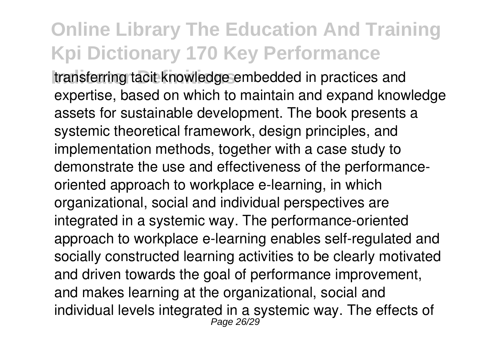**Iransferring tacit knowledge embedded in practices and** expertise, based on which to maintain and expand knowledge assets for sustainable development. The book presents a systemic theoretical framework, design principles, and implementation methods, together with a case study to demonstrate the use and effectiveness of the performanceoriented approach to workplace e-learning, in which organizational, social and individual perspectives are integrated in a systemic way. The performance-oriented approach to workplace e-learning enables self-regulated and socially constructed learning activities to be clearly motivated and driven towards the goal of performance improvement, and makes learning at the organizational, social and individual levels integrated in a systemic way. The effects of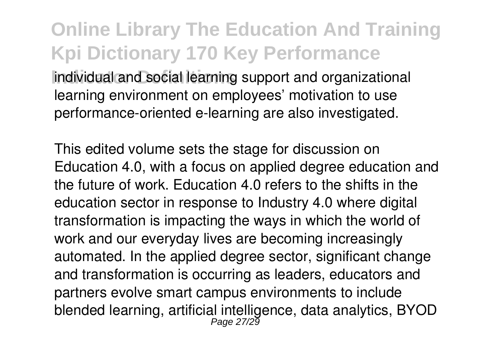**Online Library The Education And Training Kpi Dictionary 170 Key Performance Individual and social learning support and organizational** learning environment on employees' motivation to use performance-oriented e-learning are also investigated.

This edited volume sets the stage for discussion on Education 4.0, with a focus on applied degree education and the future of work. Education 4.0 refers to the shifts in the education sector in response to Industry 4.0 where digital transformation is impacting the ways in which the world of work and our everyday lives are becoming increasingly automated. In the applied degree sector, significant change and transformation is occurring as leaders, educators and partners evolve smart campus environments to include blended learning, artificial intelligence, data analytics, BYOD<br>Page 27/29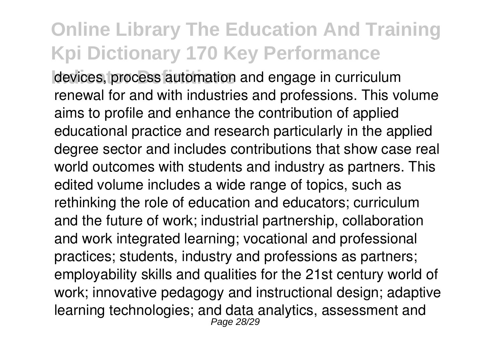**Idevices, process automation and engage in curriculum** renewal for and with industries and professions. This volume aims to profile and enhance the contribution of applied educational practice and research particularly in the applied degree sector and includes contributions that show case real world outcomes with students and industry as partners. This edited volume includes a wide range of topics, such as rethinking the role of education and educators; curriculum and the future of work; industrial partnership, collaboration and work integrated learning; vocational and professional practices; students, industry and professions as partners; employability skills and qualities for the 21st century world of work; innovative pedagogy and instructional design; adaptive learning technologies; and data analytics, assessment and Page 28/29